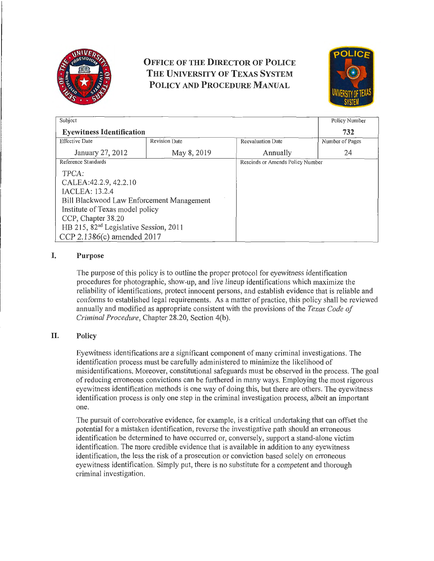

# **OFFICE OF THE DIRECTOR OF POLICE THE UNIVERSITY OF TEXAS SYSTEM POLICY AND PROCEDURE MANUAL**



| Subject                                            |                      |                          | Policy Number                    |  |
|----------------------------------------------------|----------------------|--------------------------|----------------------------------|--|
| <b>Eyewitness Identification</b>                   |                      |                          | 732                              |  |
| <b>Effective Date</b>                              | <b>Revision Date</b> | <b>Reevaluation Date</b> | Number of Pages                  |  |
| January 27, 2012                                   | May 8, 2019          | Annually                 | 24                               |  |
| Reference Standards                                |                      |                          | Rescinds or Amends Policy Number |  |
| TPCA:                                              |                      |                          |                                  |  |
| CALEA: 42.2.9, 42.2.10                             |                      |                          |                                  |  |
| IACLEA: 13.2.4                                     |                      |                          |                                  |  |
| Bill Blackwood Law Enforcement Management          |                      |                          |                                  |  |
| Institute of Texas model policy                    |                      |                          |                                  |  |
| CCP, Chapter 38.20                                 |                      |                          |                                  |  |
| HB 215, 82 <sup>nd</sup> Legislative Session, 2011 |                      |                          |                                  |  |
| CCP 2.1386(c) amended 2017                         |                      |                          |                                  |  |

# I. **Purpose**

The purpose of this policy is to outline the proper protocol for eyewitness identification procedures for photographic, show-up, and live lineup identifications which maximize the reliability of identifications, protect innocent persons, and establish evidence that is reliable and conforms to established legal requirements. As a matter of practice, this policy shall be reviewed annually and modified as appropriate consistent with the provisions of the *Texas Code of Criminal Procedure,* Chapter 28.20, Section 4(b).

# II. **Policy**

Eyewitness identifications are a significant component of many criminal investigations. The identification process must be carefully administered to minimize the likelihood of misidentifications. Moreover, constitutional safeguards must be observed in the process. The goal of reducing erroneous convictions can be furthered in many ways. Employing the most rigorous eyewitness identification methods is one way of doing this, but there are others. The eyewitness identification process is only one step in the criminal investigation process, albeit an important one.

The pursuit of corroborative evidence, for example, is a critical undertaking that can offset the potential for a mistaken identification, reverse the investigative path should an erroneous identification be determined to have occurred or, conversely, support a stand-alone victim identification. The more credible evidence that is available in addition to any eyewitness identification, the less the risk of a prosecution or conviction based solely on erroneous eyewitness identification. Simply put, there is no substitute for a competent and thorough criminal investigation.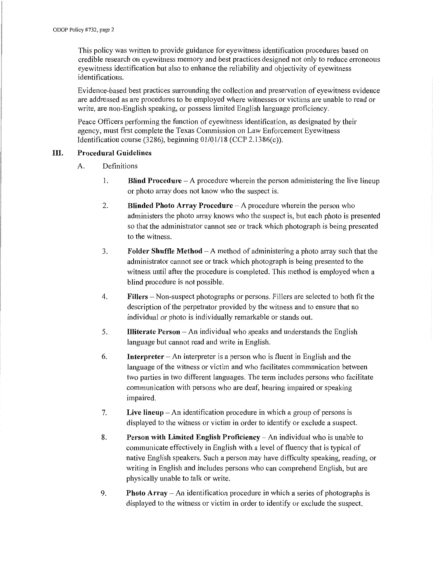This policy was written to provide guidance for eyewitness identification procedures based on credible research on eyewitness memory and best practices designed not only to reduce erroneous eyewitness identification but also to enhance the reliability and objectivity of eyewitness identifications.

Evidence-based best practices surrounding the collection and preservation of eyewitness evidence are addressed as are procedures to be employed where witnesses or victims are unable to read or write, are non-English speaking, or possess limited English language proficiency.

Peace Officers performing the function of eyewitness identification, as designated by their agency, must first complete the Texas Commission on Law Enforcement Eyewitness Identification course (3286), beginning 01/0\_1/18 (CCP 2.1386(c)).

## **III. Procedural Guidelines**

- A. Definitions
	- 1. **Blind Procedure**  A procedure wherein the person administering the live lineup or photo array does not know who the suspect is.
	- 2. **Blinded Photo Array Procedure**  A procedure wherein the person who administers the photo array knows who the suspect is, but each photo is presented so that the administrator cannot see or track which photograph is being presented to the witness.
	- 3. **Folder Shuffle Method** A method of administering a photo array such that the administrator cannot see or track which photograph is being presented to the witness until after the procedure is completed. This method is employed when a blind procedure is not possible.
	- 4. **Fillers**  Non-suspect photographs or persons. Fillers are selected to both fit the description of the perpetrator provided by the witness and to ensure that no individual or photo is individually remarkable or stands out.
	- 5. **Illiterate Person** -An individual who speaks and understands the English language but cannot read and write in English.
	- 6. **Interpreter**  An interpreter is a person who is fluent in English and the language of the witness or victim and who facilitates communication between two parties in two different languages. The term includes persons who facilitate communication with persons who are deaf, hearing impaired or speaking impaired.
	- 7. **Live lineup**  An identification procedure in which a group of persons is displayed to the witness or victim in order to identify or exclude a suspect.
	- 8. **Person with Limited English Proficiency** An individual who is unable to communicate effectively in English with a level of fluency that is typical of native English speakers. Such a person may have difficulty speaking, reading, or writing in English and includes persons who can comprehend English, but are physically unable to talk or write.
	- 9. **Photo Array-** An identification procedure in which a series of photographs is displayed to the witness or victim in order to identify or exclude the suspect.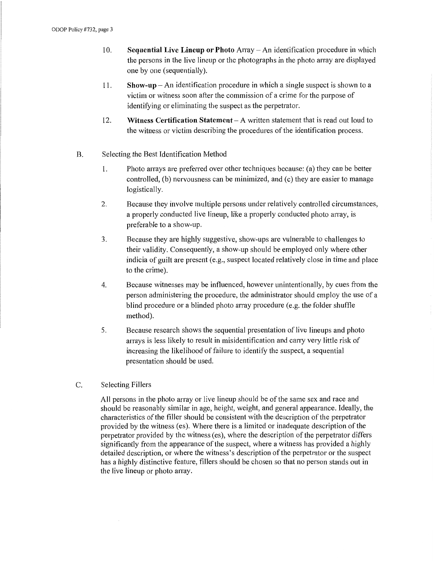- I 0. **Sequential Live Lineup or Photo** Array An identification procedure in which the persons in the live lineup or the photographs in the photo array are displayed one by one (sequentially).
- 11. **Show-up**  An identification procedure in which a single suspect is shown to a victim or witness soon after the commission of a crime for the purpose of identifying or eliminating the suspect as the perpetrator.
- 12. **Witness Certification Statement**  A written statement that is read out loud to the witness or victim describing the procedures of the identification process.
- B. Selecting the Best Identification Method
	- I. Photo arrays are preferred over other techniques because: (a) they can be better controlled, (b) nervousness can be minimized, and (c) they are easier to manage logistically.
	- 2. Because they involve multiple persons under relatively controlled circumstances, a properly conducted live lineup, like a properly conducted photo array, is preferable to a show-up.
	- 3. Because they are highly suggestive, show-ups are vulnerable to challenges to their validity. Consequently, a show-up should be employed only where other indicia of guilt are present (e.g., suspect located relatively close in time and place to the crime).
	- 4. Because witnesses may be influenced, however unintentionally, by cues from the person administering the procedure, the administrator should employ the use of a blind procedure or a blinded photo array procedure (e.g. the folder shuffle method).
	- 5. Because research shows the sequential presentation of live lineups and photo arrays is less likely to result in misidentification and carry very little risk of increasing the likelihood of failure to identify the suspect, a sequential presentation should be used.
- C. Selecting Fillers

All persons in the photo array or live lineup should be of the same sex and race and should be reasonably similar in age, height, weight, and general appearance. Ideally, the characteristics of the filler should be consistent with the description of the perpetrator provided by the witness (es). Where there is a limited or inadequate description of the perpetrator provided by the witness (es), where the description of the perpetrator differs significantly from the appearance of the suspect, where a witness has provided a highly detailed description, or where the witness's description of the perpetrator or the suspect has a highly distinctive feature, fillers should be chosen so that no person stands out in the live lineup or photo array.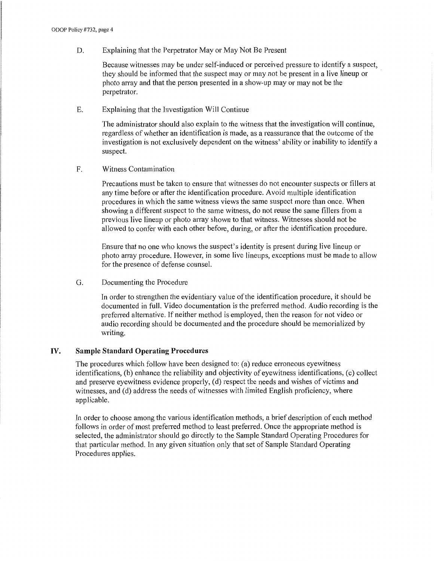D. Explaining that the Perpetrator May or May Not Be Present

Because witnesses may be under self-induced or perceived pressure to identify a suspect, they should be informed that the suspect may or may not be present in a live lineup or photo array and that the person presented in a show-up may or may not be the perpetrator.

E. Explaining that the Investigation Will Continue

The administrator should also explain to the witness that the investigation will continue, regardless of whether an identification is made, as a reassurance that the outcome of the investigation is not exclusively dependent on the witness' ability or inability to identify a suspect.

F. Witness Contamination

Precautions must be taken to ensure that witnesses do not encounter suspects or fillers at any time before or after the identification procedure. A void multiple identification procedures in which the same witness views the same suspect more than once. When showing a different suspect to the same witness, do not reuse the same fillers from a previous live lineup or photo array shown to that witness. Witnesses should not be allowed to confer with each other before, during, or after the identification procedure.

Ensure that no one who knows the suspect's identity is present during live lineup or photo array procedure. However, in some live lineups, exceptions must be made to allow for the presence of defense counsel.

G. Documenting the Procedure

In order to strengthen the evidentiaty value of the identification procedure, it should be documented in full. Video documentation is the preferred method. Audio recording is the preferred alternative. If neither method is employed, then the reason for not video or audio recording should be documented and the procedure should be memorialized by writing.

# **IV. Sample Standard Operating Procedures**

The procedures which follow have been designed to: (a) reduce erroneous eyewitness identifications, (b) enhance the reliability and objectivity of eyewitness identifications, (c) collect and preserve eyewitness evidence properly, (d) respect the needs and wishes of victims and witnesses, and (d) address the needs of witnesses with limited English proficiency, where applicable.

In order to choose among the various identification methods, a brief description of each method follows in order of most preferred method to least preferred. Once the appropriate method is selected, the administrator should go directly to the Sample Standard Operating Procedures for that particular method. In any given situation only that set of Sample Standard Operating Procedures applies.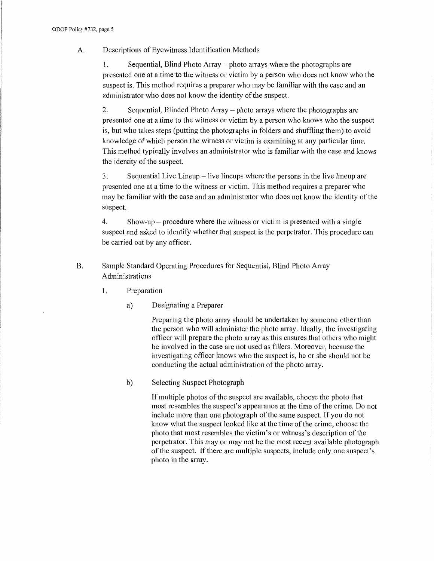# A. Descriptions of Eyewitness Identification Methods

1. Sequential, Blind Photo Array - photo arrays where the photographs are presented one at a time to the witness or victim by a person who does not know who the suspect is. This method requires a preparer who may be familiar with the case and an administrator who does not know the identity of the suspect.

2. Sequential, Blinded Photo Array – photo arrays where the photographs are presented one at a time to the witness or victim by a person who knows who the suspect is, but who takes steps (putting the photographs in folders and shuffling them) to avoid knowledge of which person the witness or victim is examining at any particular time. This method typically involves an administrator who is familiar with the case and knows the identity of the suspect.

3. Sequential Live Lineup - live lineups where the persons in the live lineup are presented one at a time to the witness or victim. This method requires a preparer who may be familiar with the case and an administrator who does not know the identity of the suspect.

4. Show-up – procedure where the witness or victim is presented with a single suspect and asked to identify whether that suspect is the perpetrator. This procedure can be carried out by any officer.

- B. Sample Standard Operating Procedures for Sequential, Blind Photo Array Administrations
	- 1. Preparation
		- a) Designating a Preparer

Preparing the photo array should be undertaken by someone other than the person who will administer the photo array. Ideally, the investigating officer will prepare the photo array as this ensures that others who might be involved in the case are not used as fillers. Moreover, because the investigating officer knows who the suspect is, he or she should not be conducting the actual administration of the photo array.

b) Selecting Suspect Photograph

If multiple photos of the suspect are available, choose the photo that most resembles the suspect's appearance at the time of the crime. Do not include more than one photograph of the same suspect. If you do not know what the suspect looked like at the time of the crime, choose the photo that most resembles the victim's or witness's description of the perpetrator. This may or may not be the most recent available photograph of the suspect. If there are multiple suspects, include only one suspect's photo in the array.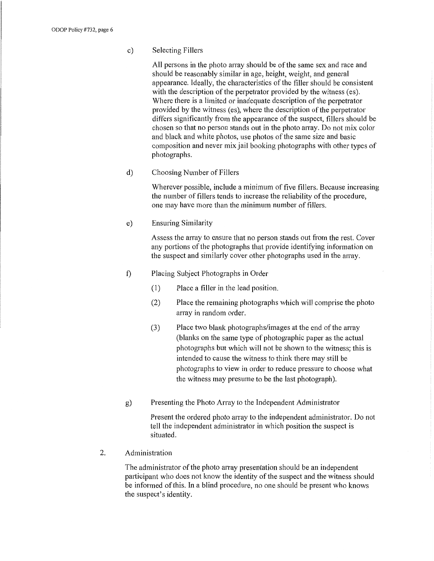c) Selecting Fillers

All persons in the photo array should be of the same sex and race and should be reasonably similar in age, height, weight, and general appearance. Ideally, the characteristics of the filler should be consistent with the description of the perpetrator provided by the witness (es). Where there is a limited or inadequate description of the perpetrator provided by the witness (es), where the description of the perpetrator differs significantly from the appearance of the suspect, fillers should be chosen so that no person stands out in the photo array. Do not mix color and black and white photos, use photos of the same size and basic composition and never mix jail booking photographs with other types of photographs.

d) Choosing Number of Fillers

Wherever possible, include a minimum of five fillers. Because increasing the number of fillers tends to increase the reliability of the procedure, one may have more than the minimum number of fillers.

e) Ensuring Similarity

Assess the array to ensure that no person stands out from the rest. Cover any portions of the photographs that provide identifying information on the suspect and similarly cover other photographs used in the array.

- t) Placing Subject Photographs in Order
	- (1) Place a filler in the lead position.
	- (2) Place the remaining photographs which will comprise the photo array in random order.
	- (3) Place two blank photographs/images at the end of the array (blanks on the same type of photographic paper as the actual photographs but which will not be shown to the witness; this is intended to cause the witness to think there may still be photographs to view in order to reduce pressure to choose what the witness may presume to be the last photograph).
- g) Presenting the Photo Array to the Independent Administrator

Present the ordered photo array to the independent administrator. Do not tell the independent administrator in which position the suspect is situated.

2. Administration

The administrator of the photo array presentation should be an independent participant who does not know the identity of the suspect and the witness should be informed of this. In a blind procedure, no one should be present who knows the suspect's identity.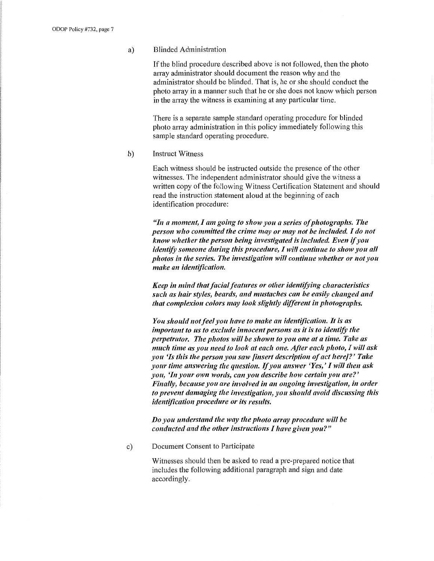#### a) Blinded Administration

If the blind procedure described above is not followed, then the photo array administrator should document the reason why and the administrator should be blinded. That is, he or she should conduct the photo array in a manner such that he or she does not know which person in the array the witness is examining at any particular time.

There is a separate sample standard operating procedure for blinded photo array administration in this policy immediately following this sample standard operating procedure.

b) Instruct Witness

Each witness should be instructed outside the presence of the other witnesses. The independent administrator should give the witness a written copy of the following Witness Certification Statement and should read the instruction statement aloud at the beginning of each identification procedure:

*"In a moment, I am going to show you a series of photographs. The person who committed the crime may or may not be included. I do not know whether the person being investigated is included. Even* if *you identify someone during this procedure, I will continue to show you all photos in the series. The investigation will continue whether or not you make an identification.* 

*Keep in mind that facial features or other identifying characteristics such as hair styles, beards, and mustaches can be easily changed and that complexion colors may look slightly different in photographs.* 

*You should not feel you have to make an identification. It is as important to us to exclude innocent persons as it is to identify the perpetrator. The photos will be shown to you one at a time. Take as much time as you need to look at each one. After each photo, I will ask you 'ls this the person you saw [insert description of act here]?' Take your time answering the question. If you answer 'Yes,' I will then ask you, 'In your own words, can you describe how certain you are?' Finally, because you are involved in an ongoing investigation, in order to prevent damaging the investigation, you should avoid discussing this identification procedure or its results.* 

*Do you understand the way the photo array procedure will be conducted and the other instructions I have given you?"* 

c) Document Consent to Participate

Witnesses should then be asked to read a pre-prepared notice that includes the following additional paragraph and sign and date accordingly.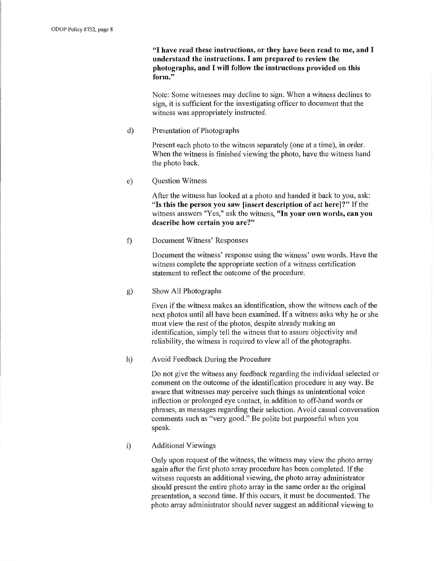**"I have read these instructions, or they have been read to me, and I understand the instructions. I am prepared to review the photographs, and I will follow the instructions provided on this form."** 

Note: Some witnesses may decline to sign. When a witness declines to sign, it is sufficient for the investigating officer to document that the witness was appropriately instructed.

d) Presentation of Photographs

Present each photo to the witness separately (one at a time), in order. When the witness is finished viewing the photo, have the witness hand the photo back.

e) Question Witness

After the witness has looked at a photo and handed it back to you, ask: **"Is this the person you saw [insert description of act here]?"** If the witness answers "Yes," ask the witness, **"In your own words, can you describe how certain you are?"** 

f) Document Witness' Responses

Document the witness' response using the witness' own words. Have the witness complete the appropriate section of a witness certification statement to reflect the outcome of the procedure.

g) Show All Photographs

Even if the witness makes an identification, show the witness each of the next photos until all have been examined. If a witness asks why he or she must view the rest of the photos, despite already making an identification, simply tell the witness that to assure objectivity and reliability, the witness is required to view all of the photographs.

h) Avoid Feedback During the Procedure

Do not give the witness any feedback regarding the individual selected or comment on the outcome of the identification procedure in any way. Be aware that witnesses may perceive such things as unintentional voice inflection or prolonged eye contact, in addition to off-hand words or phrases, as messages regarding their selection. A void casual conversation comments such as "very good." Be polite but purposeful when you speak.

i) Additional Viewings

Only upon request of the witness, the witness may view the photo array again after the first photo array procedure has been completed. If the witness requests an additional viewing, the photo array administrator should present the entire photo array in the same order as the original presentation, a second time. If this occurs, it must be documented. The photo array administrator should never suggest an additional viewing to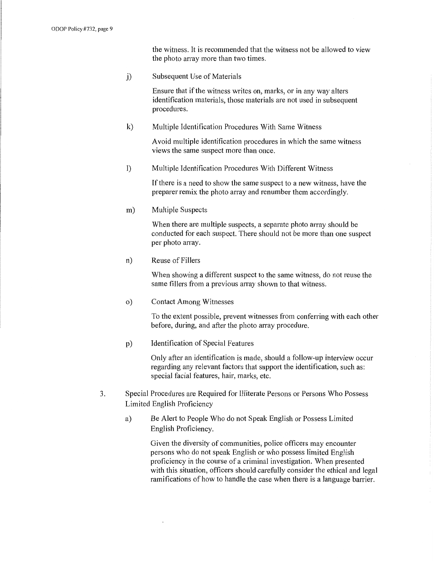the witness. It is recommended that the witness not be allowed to view the photo array more than two times.

j) Subsequent Use of Materials

Ensure that if the witness writes on, marks, or in any way alters identification materials, those materials are not used in subsequent procedures.

k) Multiple Identification Procedures With Same Witness

A void multiple identification procedures in which the same witness views the same suspect more than once.

1) Multiple Identification Procedures With Different Witness

If there is a need to show the same suspect to a new witness, have the preparer remix the photo array and renumber them accordingly.

m) Multiple Suspects

When there are multiple suspects, a separate photo array should be conducted for each suspect. There should not be more than one suspect per photo array.

n) Reuse of Fillers

When showing a different suspect to the same witness, do not reuse the same fillers from a previous array shown to that witness.

o) Contact Among Witnesses

To the extent possible, prevent witnesses from conferring with each other before, during, and after the photo array procedure.

p) Identification of Special Features

Only after an identification is made, should a follow-up interview occur regarding any relevant factors that support the identification, such as: special facial features, hair, marks, etc.

- 3. Special Procedures are Required for Illiterate Persons or Persons Who Possess Limited English Proficiency
	- a) Be Alert to People Who do not Speak English or Possess Limited English Proficiency.

Given the diversity of communities, police officers may encounter persons who do not speak English or who possess limited English proficiency in the course of a criminal investigation. When presented with this situation, officers should carefully consider the ethical and legal ramifications of how to handle the case when there is a language barrier.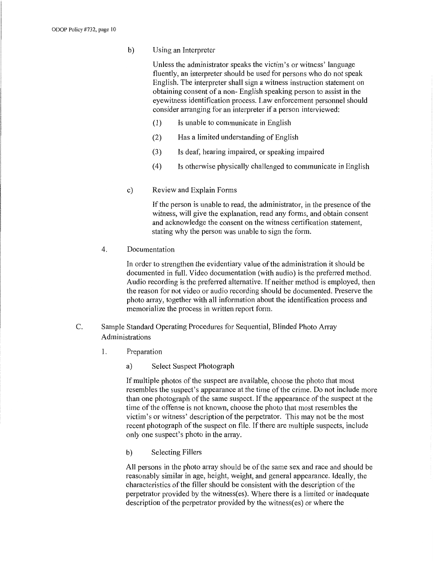b) Using an Interpreter

Unless the administrator speaks the victim's or witness' language fluently, an interpreter should be used for persons who do not speak English. The interpreter shall sign a witness instruction statement on obtaining consent of a non- English speaking person to assist in the eyewitness identification process. Law enforcement personnel should consider arranging for an interpreter if a person interviewed:

- (1) Is unable to communicate in English
- (2) Has a limited understanding of English
- (3) Is deaf, hearing impaired, or speaking impaired
- ( 4) Is otherwise physically challenged to communicate in English
- c) Review and Explain Forms

If the person is unable to read, the administrator, in the presence of the witness, will give the explanation, read any forms, and obtain consent and acknowledge the consent on the witness certification statement, stating why the person was unable to sign the form.

4. Documentation

In order to strengthen the evidentiary value of the administration it should be documented in full. Video documentation (with audio) is the preferred method. Audio recording is the preferred alternative. If neither method is employed, then the reason for not video or audio recording should be documented. Preserve the photo array, together with all information about the identification process and memorialize the process in written report form.

- C. Sample Standard Operating Procedures for Sequential, Blinded Photo Array Administrations
	- 1. Preparation
		- a) Select Suspect Photograph

If multiple photos of the suspect are available, choose the photo that most resembles the suspect's appearance at the time of the crime. Do not include more than one photograph of the same suspect. If the appearance of the suspect at the time of the offense is not known, choose the photo that most resembles the victim's or witness' description of the perpetrator. This may not be the most recent photograph of the suspect on file. If there are multiple suspects, include only one suspect's photo in the array.

b) Selecting Fillers

All persons in the photo array should be of the same sex and race and should be reasonably similar in age, height, weight, and general appearance. Ideally, the characteristics of the filler should be consistent with the description of the perpetrator provided by the witness(es). Where there is a limited or inadequate description of the perpetrator provided by the witness(es) or where the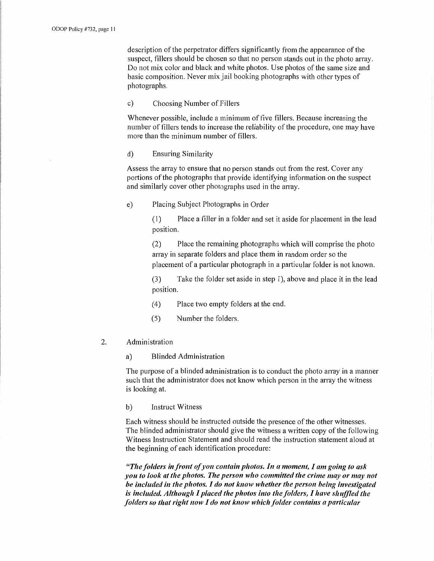description of the perpetrator differs significantly from the appearance of the suspect, fillers should be chosen so that no person stands out in the photo array. Do not mix color and black and white photos. Use photos of the same size and basic composition. Never mix jail booking photographs with other types of photographs.

#### c) Choosing Number of Fillers

Whenever possible, include a minimum of five fillers. Because increasing the number of fillers tends to increase the reliability of the procedure, one may have more than the minimum number of fillers.

#### d) Ensuring Similarity

Assess the array to ensure that no person stands out from the rest. Cover any portions of the photographs that provide identifying information on the suspect and similarly cover other photographs used in the array.

e) Placing Subject Photographs in Order

(1) Place a filler in a folder and set it aside for placement in the lead position.

(2) Place the remaining photographs which will comprise the photo array in separate folders and place them in random order so the placement of a particular photograph in a particular folder is not known.

(3) Take the folder set aside in step 1), above and place it in the lead position.

( 4) Place two empty folders at the end.

(5) Number the folders.

#### 2. Administration

a) Blinded Administration

The purpose of a blinded administration is to conduct the photo array in a manner such that the administrator does not know which person in the array the witness is looking at.

b) Instruct Witness

Each witness should be instructed outside the presence of the other witnesses. The blinded administrator should give the witness a written copy of the following Witness Instruction Statement and should read the instruction statement aloud at the beginning of each identification procedure:

*"The folders in front of you contain photos. In a moment, I am going to ask you to look at the photos. The person who committed the crime may or may not be included in the photos. I do not know whether the person being investigated is included. Although* I *placed the photos into the folders,* I *have shuffled the folders so that right now I do not know which folder contains a particular*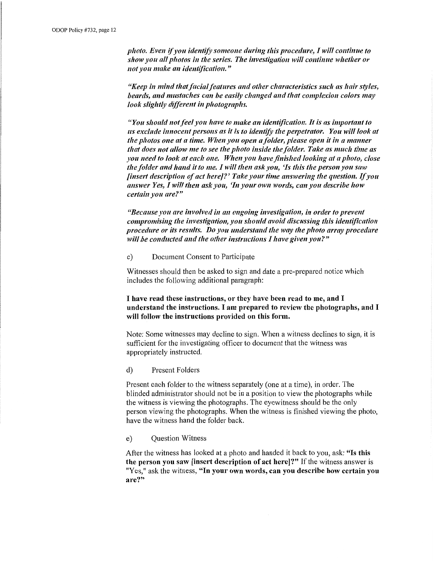*photo. Even if you identify someone during this procedure, I will continue to show you all photos in the series. The investigation will continue whether or not you make an identification."* 

*"Keep in mind that facial features and other characteristics such as hair styles, beards, and mustaches can be easily changed and tltat complexion colors may look sliglttly different in photographs.* 

*"You should not feel you have to make an identification. It is as important to us exclude innocent persons as it is to identify tlte perpetrator. You will look at the photos one at a time. When you open a folder, please open it in a manner that does not allow me to see the photo inside the folder. Take as much time as you need to look at eaclt one. When you ltave finished looking at a pltoto, close the folder and hand it to me. I will then ask you, 'Is this the person you saw finsert description of act here]?' Take your time answering the question. If you answer Yes, I will then ask you, 'In your own words, can you describe how certain you are?"* 

*"Because you are involved in an ongoing investigation, in order to prevent compromising the investigation, you should avoid discussing tltis identification procedure or its results. Do you understand tlte way the photo array procedure will be conducted and the other instructions I have given you?"* 

c) Document Consent to Participate

Witnesses should then be asked to sign and date a pre-prepared notice which includes the following additional paragraph:

### I have read these instructions, or they have been read to me, and I understand the instructions. I am prepared to review the photographs, and I will follow the instructions provided on this form.

Note: Some witnesses may decline to sign. When a witness declines to sign, it is sufficient for the investigating officer to document that the witness was appropriately instructed.

#### d) Present Folders

Present each folder to the witness separately ( one at a time), in order. The blinded administrator should not be in a position to view the photographs while the witness is viewing the photographs. The eyewitness should be the only person viewing the photographs. When the witness is finished viewing the photo, have the witness hand the folder back.

#### e) Question Witness

After the witness has looked at a photo and handed it back to you, ask: "Is this the person you saw *linsert* description of act here<sup>[2]</sup> If the witness answer is "Yes," ask the witness, "In your own words, can you describe how certain you are?"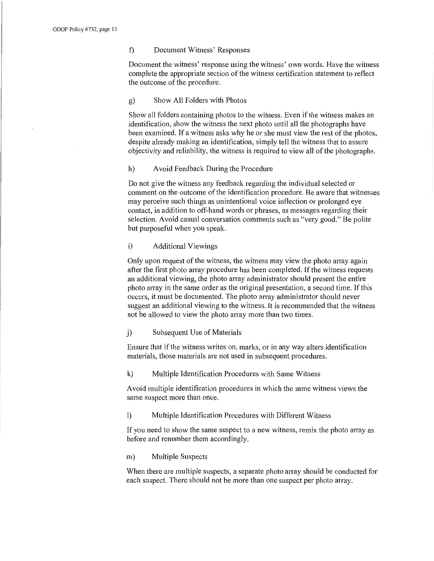#### f) Document Witness' Responses

Document the witness' response using the witness' own words. Have the witness complete the appropriate section of the witness certification statement to reflect the outcome of the procedure.

#### g) Show All Folders with Photos

Show all folders containing photos to the witness. Even if the witness makes an identification, show the witness the next photo until all the photographs have been examined. If a witness asks why he or she must view the rest of the photos, despite already making an identification, simply tell the witness that to assure objectivity and reliability, the witness is required to view all of the photographs.

#### h) Avoid Feedback During the Procedure

Do not give the witness any feedback regarding the individual selected or comment on the outcome of the identification procedure. Be aware that witnesses may perceive such things as unintentional voice inflection or prolonged eye contact, in addition to off-hand words or phrases, as messages regarding their selection. Avoid casual conversation comments such as "very good." Be polite but purposeful when you speak.

## i) Additional Viewings

Only upon request of the witness, the witness may view the photo array again after the first photo array procedure has been completed. If the witness requests an additional viewing, the photo array administrator should present the entire photo array in the same order as the original presentation, a second time. If this occurs, it must be documented. The photo array administrator should never suggest an additional viewing to the witness. It is recommended that the witness not be allowed to view the photo array more than two times.

#### j) Subsequent Use of Materials

Ensure that if the witness writes on, marks, or in any way alters identification materials, those materials are not used in subsequent procedures.

#### k) Multiple Identification Procedures with Same Witness

A void multiple identification procedures in which the same witness views the same suspect more than once.

#### 1) Multiple Identification Procedures with Different Witness

If you need to show the same suspect to a new witness, remix the photo array as before and renumber them accordingly.

#### m) Multiple Suspects

When there are multiple suspects, a separate photo array should be conducted for each suspect. There should not be more than one suspect per photo array.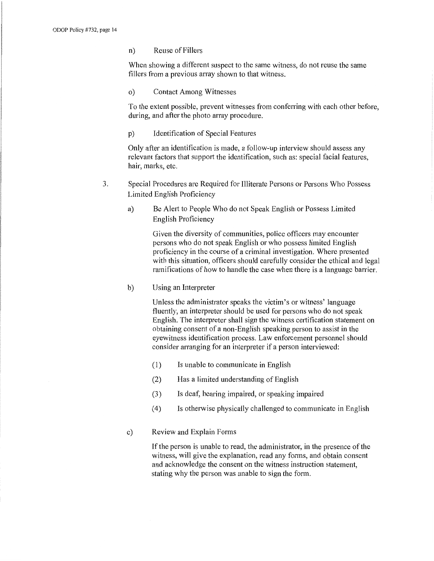n) Reuse of Fillers

When showing a different suspect to the same witness, do not reuse the same fillers from a previous array shown to that witness.

o) Contact Among Witnesses

To the extent possible, prevent witnesses from conferring with each other before, during, and after the photo array procedure.

p) Identification of Special Features

Only after an identification is made, a follow-up interview should assess any relevant factors that support the identification, such as: special facial features, hair, marks, etc.

- 3. Special Procedures are Required for Illiterate Persons or Persons Who Possess Limited English Proficiency
	- a) Be Alert to People Who do not Speak English or Possess Limited English Proficiency

Given the diversity of communities, police officers may encounter persons who do not speak English or who possess limited English proficiency in the course of a criminal investigation. Where presented with this situation, officers should carefully consider the ethical and legal ramifications of how to handle the case when there is a language barrier.

b) Using an Interpreter

Unless the administrator speaks the victim's or witness' language fluently, an interpreter should be used for persons who do not speak English. The interpreter shall sign the witness certification statement on obtaining consent of a non-English speaking person to assist in the eyewitness identification process. Law enforcement personnel should consider arranging for an interpreter if a person interviewed:

- (1) Is unable to communicate in English
- (2) Has a limited understanding of English
- (3) Is deaf, hearing impaired, or speaking impaired
- ( 4) Is otherwise physically challenged to communicate in English
- c) Review and Explain Forms

If the person is unable to read, the administrator, in the presence of the witness, will give the explanation, read any forms, and obtain consent and acknowledge the consent on the witness instruction statement, stating why the person was unable to sign the form.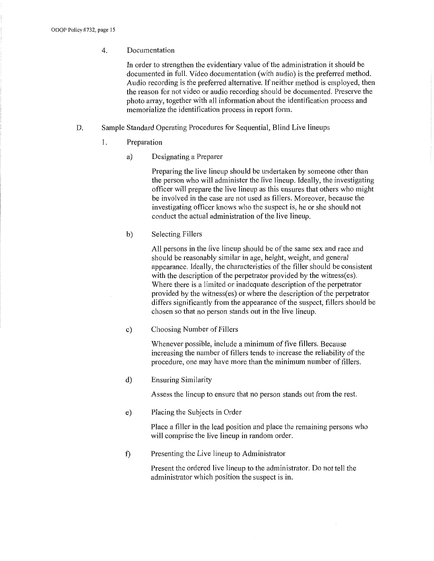# 4. Documentation

In order to strengthen the evidentiary value of the administration it should be documented in full. Video documentation (with audio) is the preferred method. Audio recording is the preferred alternative. If neither method is employed, then the reason for not video or audio recording should be documented. Preserve the photo array, together with all information about the identification process and memorialize the identification process in report form.

- D. Sample Standard Operating Procedures for Sequential, Blind Live lineups
	- 1. Preparation
		- a) Designating a Preparer

Preparing the live lineup should be undertaken by someone other than the person who will administer the live lineup. Ideally, the investigating officer will prepare the live lineup as this ensures that others who might be involved in the case are not used as fillers. Moreover, because the investigating officer knows who the suspect is, he or she should not conduct the actual administration of the live lineup.

b) Selecting Fillers

All persons in the live lineup should be of the same sex and race and should be reasonably similar in age, height, weight, and general appearance. Ideally, the characteristics of the filler should be consistent with the description of the perpetrator provided by the witness(es). Where there is a limited or inadequate description of the perpetrator provided by the witness(es) or where the description of the perpetrator differs significantly from the appearance of the suspect, fillers should be chosen so that no person stands out in the live lineup.

c) Choosing Number of Fillers

Whenever possible, include a minimum of five fillers. Because increasing the number of fillers tends to increase the reliability of the procedure, one may have more than the minimum number of fillers.

d) Ensuring Similarity

Assess the lineup to ensure that no person stands out from the rest.

e) Placing the Subjects in Order

Place a filler in the lead position and place the remaining persons who will comprise the live lineup in random order.

f) Presenting the Live lineup to Administrator

Present the ordered live lineup to the administrator. Do not tell the administrator which position the suspect is in.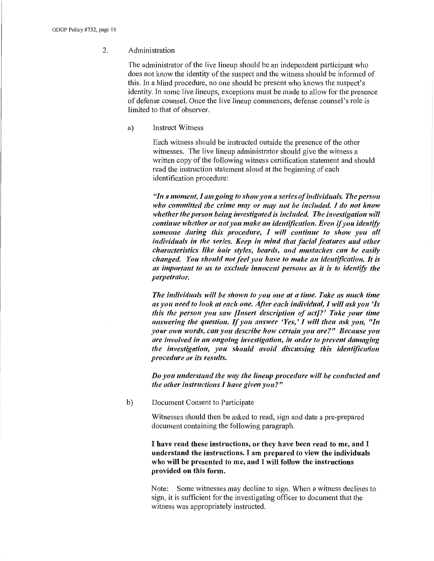#### 2. Administration

The administrator of the live lineup should be an independent participant who does not know the identity of the suspect and the witness should be informed of this. In a blind procedure, no one should be present who knows the suspect's identity. In some live lineups, exceptions must be made to allow for the presence of defense counsel. Once the live lineup commences, defense counsel's role is limited to that of observer.

a) Instruct Witness

Each witness should be instructed outside the presence of the other witnesses. The live lineup administrator should give the witness a written copy of the following witness certification statement and should read the instruction statement aloud at the beginning of each identification procedure:

*"111 a moment, I am going to show you a series of individuals. The person who committed the crime may or may not be included. I do not know whether the person being investigated is included. The investigation will continue whether or not you make an identification. Even* if *you identify someone during this procedure, I will continue to show you all individuals in the series. Keep in mind that facial features and other characteristics like hair styles, beards, and mustaches can be easily changed. You should not feel you have to make an identification. It is as important to us to exclude innocent persons as it is to identify the pe1petrator.* 

*The individuals will be shown to you one at a time. Take as much time as you need to look at each one. After each individual, I will ask you 'ls this the person you saw [Insert description of act]?' Take your time answering the question. If you answer 'Yes,' I will then ask you, "In your own words, can you describe !tow certain you are?" Because you are involved in an ongoing investigation, in order to prevent damaging the investigation, you should avoid discussing this identification procedure or its results.* 

*Do you understand the way the lineup procedure will be conducted and the other instructions I have given you?"* 

b) Document Consent to Participate

Witnesses should then be asked to read, sign and date a pre-prepared document containing the following paragraph.

I **have read these instructions, or they have been read to me, and** I **understand the instructions.** I **am prepared to view the individuals who will be presented to me, and** I **will follow the instructions provided on this form.** 

Note: Some witnesses may decline to sign. When a witness declines to sign, it is sufficient for the investigating officer to document that the witness was appropriately instructed.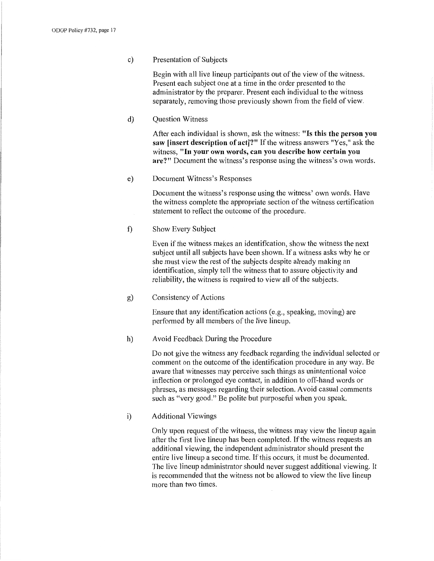#### c) Presentation of Subjects

Begin with all live lineup participants out of the view of the witness. Present each subject one at a time in the order presented to the administrator by the preparer. Present each individual to the witness separately, removing those previously shown from the field of view.

d) Question Witness

After each individual is shown, ask the witness: **"Is this the person you saw [insert description of act]?"** If the witness answers "Yes," ask the witness, **"In your own words, can you describe how certain you are?"** Document the witness's response using the witness's own words.

e) Document Witness's Responses

Document the witness's response using the witness' own words. Have the witness complete the appropriate section of the witness certification statement to reflect the outcome of the procedure.

f) Show Every Subject

Even if the witness makes an identification, show the witness the next subject until all subjects have been shown. If a witness asks why he or she must view the rest of the subjects despite already making an identification, simply tell the witness that to assure objectivity and reliability, the witness is required to view all of the subjects.

g) Consistency of Actions

Ensure that any identification actions (e.g., speaking, moving) are performed by all members of the live lineup.

#### h) Avoid Feedback During the Procedure

Do not give the witness any feedback regarding the individual selected or comment on the outcome of the identification procedure in any way. Be aware that witnesses may perceive such things as unintentional voice inflection or prolonged eye contact, in addition to off-hand words or phrases, as messages regarding their selection. A void casual comments such as "very good." Be polite but purposeful when you speak.

i) Additional Viewings

Only upon request of the witness, the witness may view the lineup again after the first live lineup has been completed. If the witness requests an additional viewing, the independent administrator should present the entire live lineup a second time. If this occurs, it must be documented. The live lineup administrator should never suggest additional viewing. It is recommended that the witness not be allowed to view the live lineup more than two times.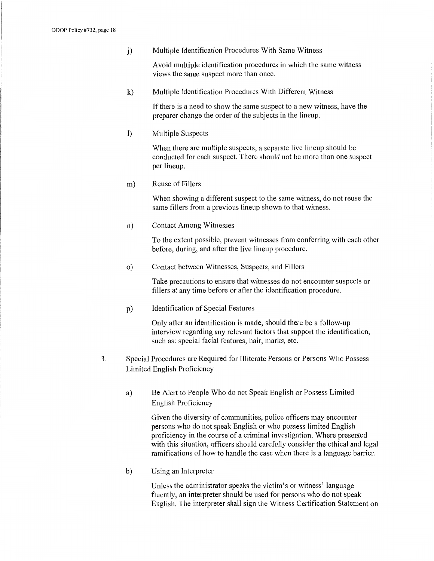j) Multiple Identification Procedures With Same Witness

A void multiple identification procedures in which the same witness views the same suspect more than once.

k) Multiple Identification Procedures With Different Witness

If there is a need to show the same suspect to a new witness, have the preparer change the order of the subjects in the lineup.

1) Multiple Suspects

When there are multiple suspects, a separate live lineup should be conducted for each suspect. There should not be more than one suspect per lineup.

m) Reuse of Fillers

When showing a different suspect to the same witness, do not reuse the same fillers from a previous lineup shown to that witness.

n) Contact Among Witnesses

To the extent possible, prevent witnesses from conferring with each other before, during, and after the live lineup procedure.

o) Contact between Witnesses, Suspects, and Fillers

Take precautions to ensure that witnesses do not encounter suspects or fillers at any time before or after the identification procedure.

p) Identification of Special Features

Only after an identification is made, should there be a follow-up interview regarding any relevant factors that support the identification, such as: special facial features, hair, marks, etc.

- 3. Special Procedures are Required for Illiterate Persons or Persons Who Possess Limited English Proficiency
	- a) Be Alert to People Who do not Speak English or Possess Limited English Proficiency

Given the diversity of communities, police officers may encounter persons who do not speak English or who possess limited English proficiency in the course of a criminal investigation. Where presented with this situation, officers should carefully consider the ethical and legal ramifications of how to handle the case when there is a language barrier.

b) Using an Interpreter

Unless the administrator speaks the victim's or witness' language fluently, an interpreter should be used for persons who do not speak English. The interpreter shall sign the Witness Certification Statement on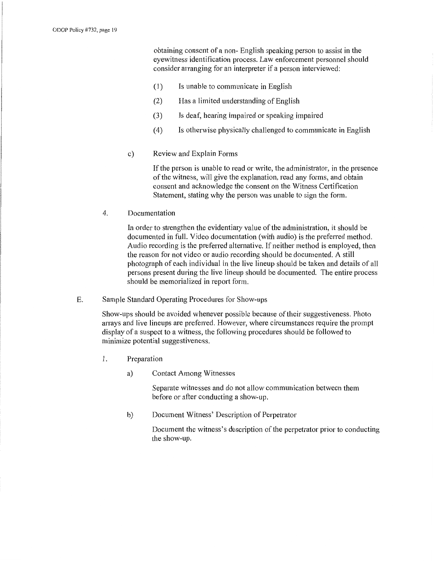obtaining consent of a non- English speaking person to assist in the eyewitness identification process. Law enforcement personnel should consider arranging for an interpreter if a person interviewed:

- (1) Is unable to communicate in English
- (2) Has a limited understanding of English
- (3) Is deaf, hearing impaired or speaking impaired
- ( 4) Is otherwise physically challenged to communicate in English
- c) Review and Explain Forms

If the person is unable to read or write, the administrator, in the presence of the witness, will give the explanation, read any fonns, and obtain consent and acknowledge the consent on the Witness Certification Statement, stating why the person was unable to sign the form.

4. Documentation

In order to strengthen the evidentiary value of the administration, it should be documented in full. Video documentation (with audio) is the preferred method. Audio recording is the preferred alternative. If neither method is employed, then the reason for not video or audio recording should be documented. A still photograph of each individual in the live lineup should be taken and details of all persons present during the live lineup should be documented. The entire process should be memorialized in report form.

E. Sample Standard Operating Procedures for Show-ups

Show-ups should be avoided whenever possible because of their suggestiveness. Photo arrays and live lineups are preferred. However, where circumstances require the prompt display of a suspect to a witness, the following procedures should be followed to minimize potential suggestiveness.

- 1. Preparation
	- a) Contact Among Witnesses

Separate witnesses and do not allow communication between them before or after conducting a show-up.

b) Document Witness' Description of Perpetrator

Document the witness's description of the perpetrator prior to conducting the show-up.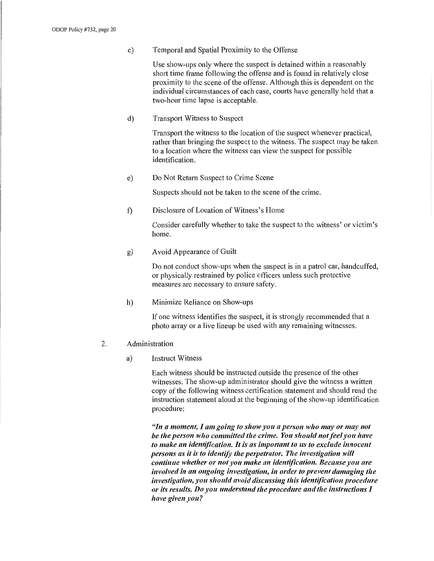c) Temporal and Spatial Proximity to the Offense

Use show-ups only where the suspect is detained within a reasonably short time frame following the offense and is found in relatively close proximity to the scene of the offense. Although this is dependent on the individual circumstances of each case, courts have generally held that a two-hour time lapse is acceptable.

d) Transport Witness to Suspect

Transport the witness to the location of the suspect whenever practical, rather than bringing the suspect to the witness. The suspect may be taken to a location where the witness can view the suspect for possible identification.

e) Do Not Return Suspect to Crime Scene

Suspects should not be taken to the scene of the crime.

f) Disclosure of Location of Witness's Home

Consider carefully whether to take the suspect to the witness' or victim's home.

g) A void Appearance of Guilt

Do not conduct show-ups when the suspect is in a patrol car, handcuffed, or physically restrained by police officers unless such protective measures are necessary to ensure safety.

h) Minimize Reliance on Show-ups

If one witness identifies the suspect, it is strongly recommended that a photo array or a live lineup be used with any remaining witnesses.

- 2. Administration
	- a) Instruct Witness

Each witness should be instructed outside the presence of the other witnesses. The show-up administrator should give the witness a written copy of the following witness certification statement and should read the instruction statement aloud at the beginning of the show-up identification procedure:

*"In a moment, I am going to show you a person who may or may not be the person who committed the crime. You should not feel you have to make an identification. It is as important to us to exclude innocent persons as it is to identify the perpetrator. The investigation will continue whether or not you make an identification. Because you are involved in an ongoing investigation, in order to prevent damaging the investigation, you should avoid discussing this identification procedure or its results. Do you understand the procedure and the instructions I have given you?*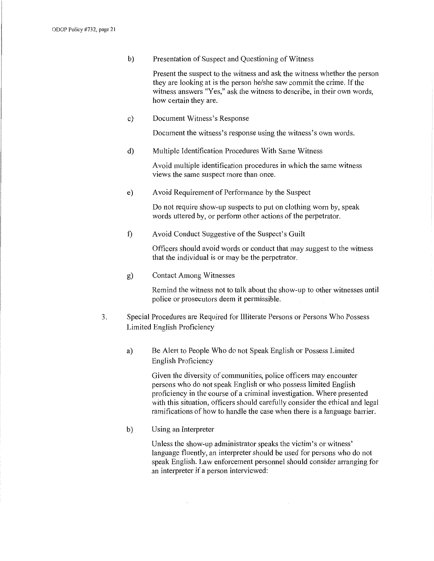b) Presentation of Suspect and Questioning of Witness

Present the suspect to the witness and ask the witness whether the person they are looking at is the person he/she saw commit the crime. If the witness answers "Yes," ask the witness to describe, in their own words, how certain they are.

c) Document Witness's Response

Document the witness's response using the witness's own words.

d) Multiple Identification Procedures With Same Witness

Avoid multiple identification procedures in which the same witness views the same suspect more than once.

e) A void Requirement of Performance by the Suspect

Do not require show-up suspects to put on clothing worn by, speak words uttered by, or perform other actions of the perpetrator.

f) Avoid Conduct Suggestive of the Suspect's Guilt

Officers should avoid words or conduct that may suggest to the witness that the individual is or may be the perpetrator.

g) Contact Among Witnesses

Remind the witness not to talk about the show-up to other witnesses until police or prosecutors deem it permissible.

- 3. Special Procedures are Required for Illiterate Persons or Persons Who Possess Limited English Proficiency
	- a) Be Alert to People Who do not Speak English or Possess Limited English Proficiency

Given the diversity of communities, police officers may encounter persons who do not speak English or who possess limited English proficiency in the course of a criminal investigation. Where presented with this situation, officers should carefully consider the ethical and legal ramifications of how to handle the case when there is a language barrier.

b) Using an Interpreter

 $\bar{z}$ 

Unless the show-up administrator speaks the victim's or witness' language fluently, an interpreter should be used for persons who do not speak English. Law enforcement personnel should consider arranging for an interpreter if a person interviewed: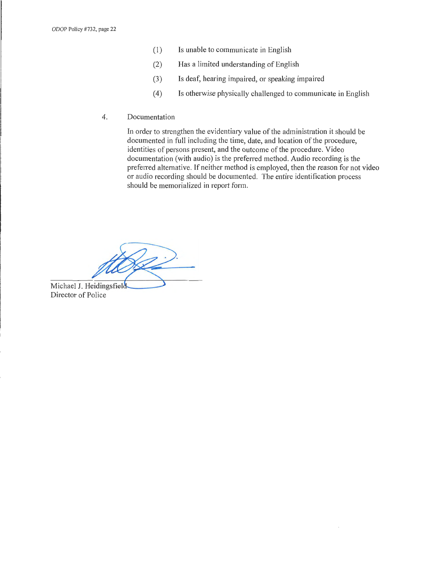- (I) Is unable to communicate in English
- (2) Has a limited understanding of English
- (3) Is deaf, hearing impaired, or speaking impaired
- ( 4) Is otherwise physically challenged to communicate in English
- 4. Documentation

In order to strengthen the evidentiary value of the administration it should be documented in full including the time, date, and location of the procedure, identities of persons present, and the outcome of the procedure. Video documentation (with audio) is the preferred method. Audio recording is the preferred alternative. If neither method is employed, then the reason for not video or audio recording should be documented. The entire identification process should be memorialized in report form.

Michael J. Heidingsfield Director of Police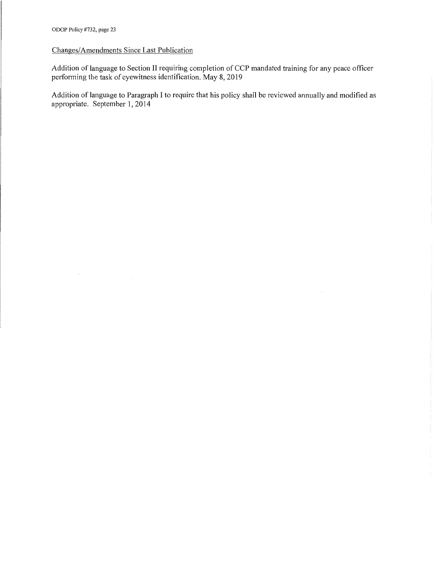## Changes/Amendments Since Last Publication

Addition of language to Section II requiring completion of CCP mandated training for any peace officer performing the task of eyewitness identification. May 8, 2019

Addition of language to Paragraph I to require that his policy shall be reviewed annually and modified as appropriate. September 1, 2014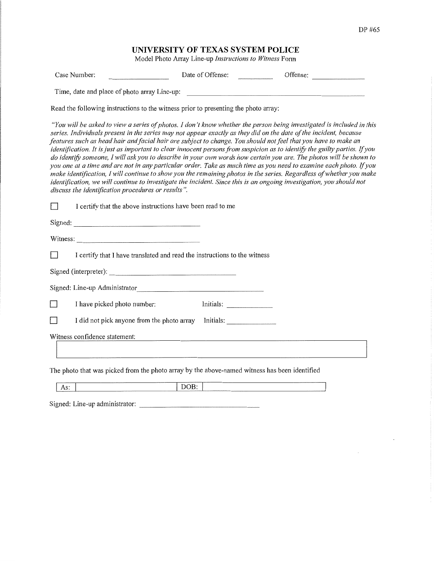# **UNIVERSITY OF TEXAS SYSTEM POLICE**

Model Photo Array Line-up *Instructions to Witness* Form

| Case Number:                                 | Date of Offense:                                                                                                                                                                                                                    | Offense:                                                                                                                                                                                                                                                                                                                                                                                                                                                                                                                                                                                                                                                                                                                                       |
|----------------------------------------------|-------------------------------------------------------------------------------------------------------------------------------------------------------------------------------------------------------------------------------------|------------------------------------------------------------------------------------------------------------------------------------------------------------------------------------------------------------------------------------------------------------------------------------------------------------------------------------------------------------------------------------------------------------------------------------------------------------------------------------------------------------------------------------------------------------------------------------------------------------------------------------------------------------------------------------------------------------------------------------------------|
| Time, date and place of photo array Line-up: |                                                                                                                                                                                                                                     |                                                                                                                                                                                                                                                                                                                                                                                                                                                                                                                                                                                                                                                                                                                                                |
|                                              | Read the following instructions to the witness prior to presenting the photo array:                                                                                                                                                 |                                                                                                                                                                                                                                                                                                                                                                                                                                                                                                                                                                                                                                                                                                                                                |
|                                              | series. Individuals present in the series may not appear exactly as they did on the date of the incident, because<br>features such as head hair and facial hair are subject to change. You should not feel that you have to make an | "You will be asked to view a series of photos. I don't know whether the person being investigated is included in this<br>identification. It is just as important to clear innocent persons from suspicion as to identify the guilty parties. If you<br>do identify someone, I will ask you to describe in your own words how certain you are. The photos will be shown to<br>you one at a time and are not in any particular order. Take as much time as you need to examine each photo. If you<br>make identification, I will continue to show you the remaining photos in the series. Regardless of whether you make<br>identification, we will continue to investigate the incident. Since this is an ongoing investigation, you should not |

*discuss the identification procedures or results".* 

|                                                                                               | I certify that the above instructions have been read to me                |  |  |
|-----------------------------------------------------------------------------------------------|---------------------------------------------------------------------------|--|--|
|                                                                                               |                                                                           |  |  |
|                                                                                               |                                                                           |  |  |
|                                                                                               | I certify that I have translated and read the instructions to the witness |  |  |
|                                                                                               |                                                                           |  |  |
|                                                                                               | Signed: Line-up Administrator                                             |  |  |
|                                                                                               | Initials:<br>I have picked photo number:                                  |  |  |
|                                                                                               | Initials:<br>I did not pick anyone from the photo array                   |  |  |
|                                                                                               | Witness confidence statement:                                             |  |  |
| The photo that was picked from the photo array by the above-named witness has been identified |                                                                           |  |  |
| As:                                                                                           | DOB:                                                                      |  |  |

| ________ |  |  |
|----------|--|--|
|          |  |  |

Signed: Line-up administrator: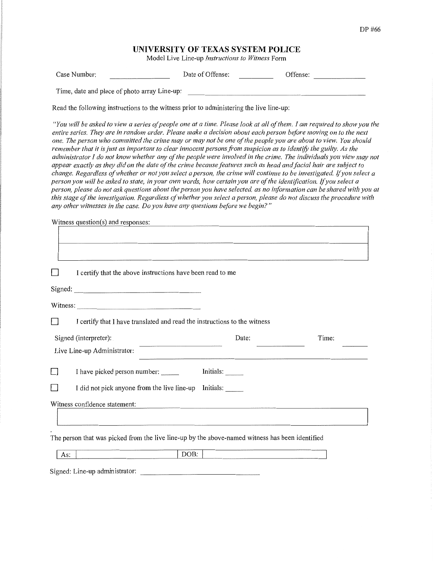# **UNIVERSITY OF TEXAS SYSTEM POLICE**

Model Live Line-up *Instructions to Witness* Form

| Case Number:                                 | Date of Offense: | Offense: |
|----------------------------------------------|------------------|----------|
| Time, date and place of photo array Line-up: |                  |          |

Read the following instructions to the witness prior to administering the live line-up:

*"You will be asked to view a series of people one at a time. Please look at all of them. I am required to show you the*  entire series. They are in random order. Please make a decision about each person before moving on to the next *one. The person who committed the crime may or may not be one of the people you are about to view. You should remember that it is just as important to clear innocent persons from suspicion as to identify the guilty. As the* administrator I do not know whether any of the people were involved in the crime. The individuals you view may not *appear exactly as they did on the date of the crime because features such as head and facial hair are subject to change. Regardless of whether or not you select a person, the crime will continue to be investigated* If *you select a person you will be asked to state, in your own words, how certain you are of the identification.* If *you select a person, please do not ask questions about the person you have selected, as no information can be shared with you at this stage of the investigation. Regardless of whether you select a person, please do not discuss the procedure with any other witnesses in the case. Do you have any questions before we begin?"* 

**Witness question(s) and responses:** 

| I certify that the above instructions have been read to me                                      |                                                                                                 |
|-------------------------------------------------------------------------------------------------|-------------------------------------------------------------------------------------------------|
| Signed:                                                                                         |                                                                                                 |
|                                                                                                 |                                                                                                 |
| I certify that I have translated and read the instructions to the witness                       |                                                                                                 |
| Date:                                                                                           | Time:                                                                                           |
|                                                                                                 |                                                                                                 |
| I have picked person number: ______<br>Initials:                                                |                                                                                                 |
| I did not pick anyone from the live line-up Initials:                                           |                                                                                                 |
|                                                                                                 |                                                                                                 |
|                                                                                                 |                                                                                                 |
| The person that was picked from the live line-up by the above-named witness has been identified |                                                                                                 |
|                                                                                                 |                                                                                                 |
|                                                                                                 | the contract of the contract of the contract of the contract of the contract of the contract of |